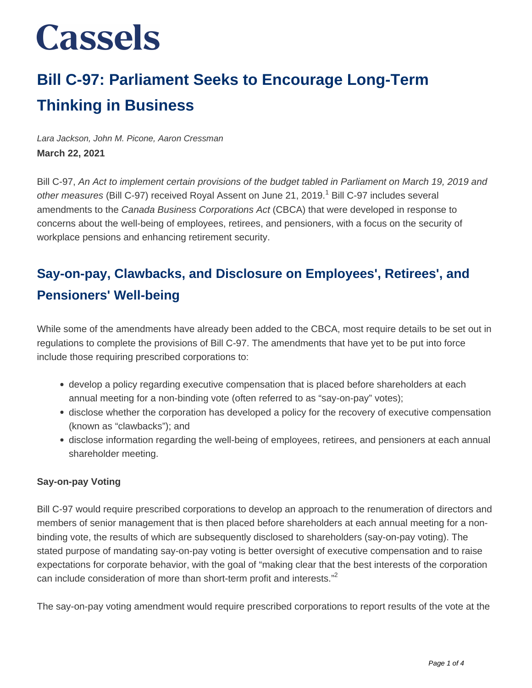### **Bill C-97: Parliament Seeks to Encourage Long-Term Thinking in Business**

Lara Jackson, John M. Picone, Aaron Cressman **March 22, 2021**

Bill C-97, An Act to implement certain provisions of the budget tabled in Parliament on March 19, 2019 and other measures (Bill C-97) received Royal Assent on June 21, 2019.<sup>1</sup> Bill C-97 includes several amendments to the Canada Business Corporations Act (CBCA) that were developed in response to concerns about the well-being of employees, retirees, and pensioners, with a focus on the security of workplace pensions and enhancing retirement security.

### **Say-on-pay, Clawbacks, and Disclosure on Employees', Retirees', and Pensioners' Well-being**

While some of the amendments have already been added to the CBCA, most require details to be set out in regulations to complete the provisions of Bill C-97. The amendments that have yet to be put into force include those requiring prescribed corporations to:

- develop a policy regarding executive compensation that is placed before shareholders at each annual meeting for a non-binding vote (often referred to as "say-on-pay" votes);
- disclose whether the corporation has developed a policy for the recovery of executive compensation (known as "clawbacks"); and
- disclose information regarding the well-being of employees, retirees, and pensioners at each annual shareholder meeting.

#### **Say-on-pay Voting**

Bill C-97 would require prescribed corporations to develop an approach to the renumeration of directors and members of senior management that is then placed before shareholders at each annual meeting for a nonbinding vote, the results of which are subsequently disclosed to shareholders (say-on-pay voting). The stated purpose of mandating say-on-pay voting is better oversight of executive compensation and to raise expectations for corporate behavior, with the goal of "making clear that the best interests of the corporation can include consideration of more than short-term profit and interests."<sup>2</sup>

The say-on-pay voting amendment would require prescribed corporations to report results of the vote at the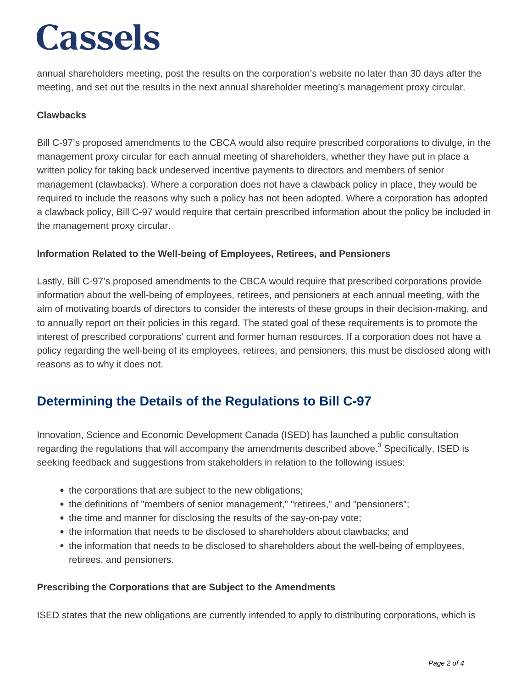annual shareholders meeting, post the results on the corporation's website no later than 30 days after the meeting, and set out the results in the next annual shareholder meeting's management proxy circular.

#### **Clawbacks**

Bill C-97's proposed amendments to the CBCA would also require prescribed corporations to divulge, in the management proxy circular for each annual meeting of shareholders, whether they have put in place a written policy for taking back undeserved incentive payments to directors and members of senior management (clawbacks). Where a corporation does not have a clawback policy in place, they would be required to include the reasons why such a policy has not been adopted. Where a corporation has adopted a clawback policy, Bill C-97 would require that certain prescribed information about the policy be included in the management proxy circular.

#### **Information Related to the Well-being of Employees, Retirees, and Pensioners**

Lastly, Bill C-97's proposed amendments to the CBCA would require that prescribed corporations provide information about the well-being of employees, retirees, and pensioners at each annual meeting, with the aim of motivating boards of directors to consider the interests of these groups in their decision-making, and to annually report on their policies in this regard. The stated goal of these requirements is to promote the interest of prescribed corporations' current and former human resources. If a corporation does not have a policy regarding the well-being of its employees, retirees, and pensioners, this must be disclosed along with reasons as to why it does not.

### **Determining the Details of the Regulations to Bill C-97**

Innovation, Science and Economic Development Canada (ISED) has launched a public consultation regarding the regulations that will accompany the amendments described above.<sup>3</sup> Specifically, ISED is seeking feedback and suggestions from stakeholders in relation to the following issues:

- the corporations that are subject to the new obligations;
- the definitions of "members of senior management," "retirees," and "pensioners";
- the time and manner for disclosing the results of the say-on-pay vote;
- the information that needs to be disclosed to shareholders about clawbacks; and
- the information that needs to be disclosed to shareholders about the well-being of employees, retirees, and pensioners.

#### **Prescribing the Corporations that are Subject to the Amendments**

ISED states that the new obligations are currently intended to apply to distributing corporations, which is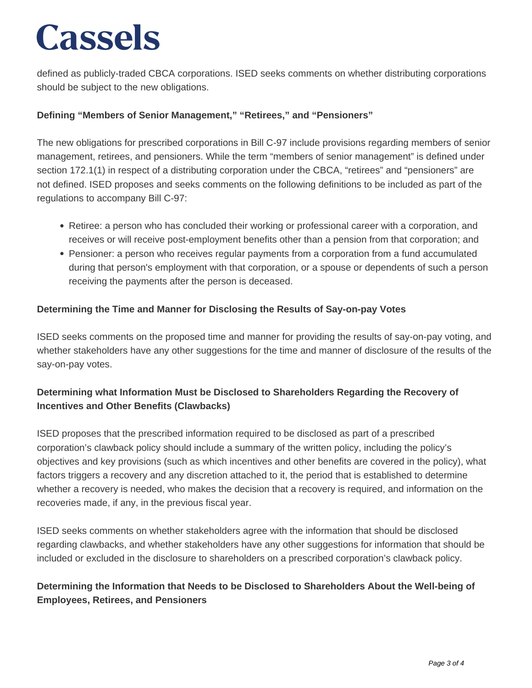defined as publicly-traded CBCA corporations. ISED seeks comments on whether distributing corporations should be subject to the new obligations.

#### **Defining "Members of Senior Management," "Retirees," and "Pensioners"**

The new obligations for prescribed corporations in Bill C-97 include provisions regarding members of senior management, retirees, and pensioners. While the term "members of senior management" is defined under section 172.1(1) in respect of a distributing corporation under the CBCA, "retirees" and "pensioners" are not defined. ISED proposes and seeks comments on the following definitions to be included as part of the regulations to accompany Bill C-97:

- Retiree: a person who has concluded their working or professional career with a corporation, and receives or will receive post-employment benefits other than a pension from that corporation; and
- Pensioner: a person who receives regular payments from a corporation from a fund accumulated during that person's employment with that corporation, or a spouse or dependents of such a person receiving the payments after the person is deceased.

#### **Determining the Time and Manner for Disclosing the Results of Say-on-pay Votes**

ISED seeks comments on the proposed time and manner for providing the results of say-on-pay voting, and whether stakeholders have any other suggestions for the time and manner of disclosure of the results of the say-on-pay votes.

#### **Determining what Information Must be Disclosed to Shareholders Regarding the Recovery of Incentives and Other Benefits (Clawbacks)**

ISED proposes that the prescribed information required to be disclosed as part of a prescribed corporation's clawback policy should include a summary of the written policy, including the policy's objectives and key provisions (such as which incentives and other benefits are covered in the policy), what factors triggers a recovery and any discretion attached to it, the period that is established to determine whether a recovery is needed, who makes the decision that a recovery is required, and information on the recoveries made, if any, in the previous fiscal year.

ISED seeks comments on whether stakeholders agree with the information that should be disclosed regarding clawbacks, and whether stakeholders have any other suggestions for information that should be included or excluded in the disclosure to shareholders on a prescribed corporation's clawback policy.

#### **Determining the Information that Needs to be Disclosed to Shareholders About the Well-being of Employees, Retirees, and Pensioners**